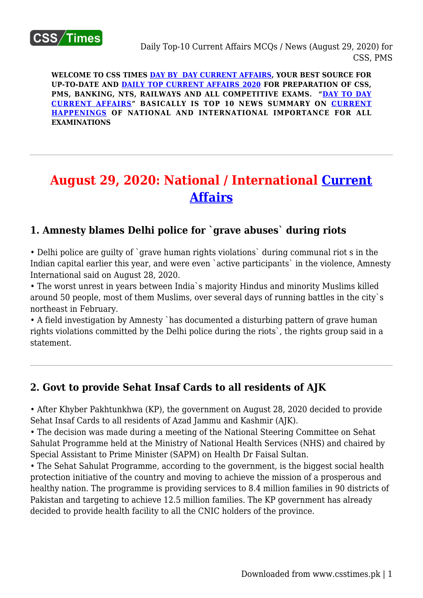

**WELCOME TO CSS TIMES [DAY BY DAY CURRENT AFFAIRS](https://www.csstimes.pk/category/csssubject/csscompulsorysubjects/currentaffairs/), YOUR BEST SOURCE FOR UP-TO-DATE AND [DAILY TOP CURRENT AFFAIRS 2020](https://www.csstimes.pk/category/csssubject/csscompulsorysubjects/currentaffairs/) FOR PREPARATION OF CSS, PMS, BANKING, NTS, RAILWAYS AND ALL COMPETITIVE EXAMS. "[DAY TO DAY](https://www.csstimes.pk/category/csssubject/csscompulsorysubjects/currentaffairs/) [CURRENT AFFAIRS"](https://www.csstimes.pk/category/csssubject/csscompulsorysubjects/currentaffairs/) BASICALLY IS TOP 10 NEWS SUMMARY ON [CURRENT](https://www.csstimes.pk/category/csssubject/csscompulsorysubjects/currentaffairs/) [HAPPENINGS](https://www.csstimes.pk/category/csssubject/csscompulsorysubjects/currentaffairs/) OF NATIONAL AND INTERNATIONAL IMPORTANCE FOR ALL EXAMINATIONS**

# **August 29, 2020: National / International [Current](https://www.csstimes.pk/category/csssubject/csscompulsorysubjects/currentaffairs/) [Affairs](https://www.csstimes.pk/category/csssubject/csscompulsorysubjects/currentaffairs/)**

## **1. Amnesty blames Delhi police for `grave abuses` during riots**

• Delhi police are quilty of `grave human rights violations` during communal riot s in the Indian capital earlier this year, and were even `active participants` in the violence, Amnesty International said on August 28, 2020.

• The worst unrest in years between India`s majority Hindus and minority Muslims killed around 50 people, most of them Muslims, over several days of running battles in the city`s northeast in February.

• A field investigation by Amnesty `has documented a disturbing pattern of grave human rights violations committed by the Delhi police during the riots`, the rights group said in a statement.

## **2. Govt to provide Sehat Insaf Cards to all residents of AJK**

• After Khyber Pakhtunkhwa (KP), the government on August 28, 2020 decided to provide Sehat Insaf Cards to all residents of Azad Jammu and Kashmir (AJK).

• The decision was made during a meeting of the National Steering Committee on Sehat Sahulat Programme held at the Ministry of National Health Services (NHS) and chaired by Special Assistant to Prime Minister (SAPM) on Health Dr Faisal Sultan.

• The Sehat Sahulat Programme, according to the government, is the biggest social health protection initiative of the country and moving to achieve the mission of a prosperous and healthy nation. The programme is providing services to 8.4 million families in 90 districts of Pakistan and targeting to achieve 12.5 million families. The KP government has already decided to provide health facility to all the CNIC holders of the province.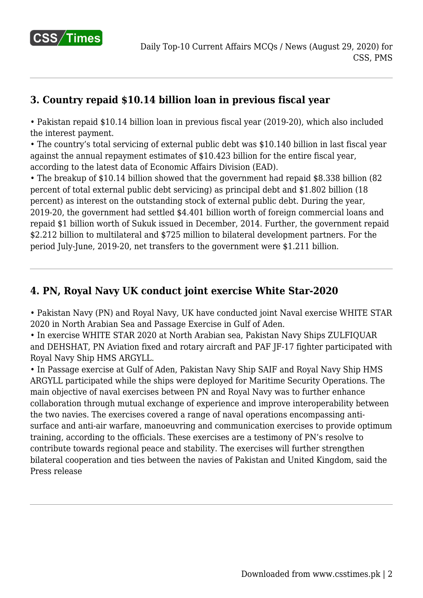

# **3. Country repaid \$10.14 billion loan in previous fiscal year**

• Pakistan repaid \$10.14 billion loan in previous fiscal year (2019-20), which also included the interest payment.

• The country's total servicing of external public debt was \$10.140 billion in last fiscal year against the annual repayment estimates of \$10.423 billion for the entire fiscal year, according to the latest data of Economic Affairs Division (EAD).

• The breakup of \$10.14 billion showed that the government had repaid \$8.338 billion (82 percent of total external public debt servicing) as principal debt and \$1.802 billion (18 percent) as interest on the outstanding stock of external public debt. During the year, 2019-20, the government had settled \$4.401 billion worth of foreign commercial loans and repaid \$1 billion worth of Sukuk issued in December, 2014. Further, the government repaid \$2.212 billion to multilateral and \$725 million to bilateral development partners. For the period July-June, 2019-20, net transfers to the government were \$1.211 billion.

## **4. PN, Royal Navy UK conduct joint exercise White Star-2020**

• Pakistan Navy (PN) and Royal Navy, UK have conducted joint Naval exercise WHITE STAR 2020 in North Arabian Sea and Passage Exercise in Gulf of Aden.

• In exercise WHITE STAR 2020 at North Arabian sea, Pakistan Navy Ships ZULFIQUAR and DEHSHAT, PN Aviation fixed and rotary aircraft and PAF JF-17 fighter participated with Royal Navy Ship HMS ARGYLL.

• In Passage exercise at Gulf of Aden, Pakistan Navy Ship SAIF and Royal Navy Ship HMS ARGYLL participated while the ships were deployed for Maritime Security Operations. The main objective of naval exercises between PN and Royal Navy was to further enhance collaboration through mutual exchange of experience and improve interoperability between the two navies. The exercises covered a range of naval operations encompassing antisurface and anti-air warfare, manoeuvring and communication exercises to provide optimum training, according to the officials. These exercises are a testimony of PN's resolve to contribute towards regional peace and stability. The exercises will further strengthen bilateral cooperation and ties between the navies of Pakistan and United Kingdom, said the Press release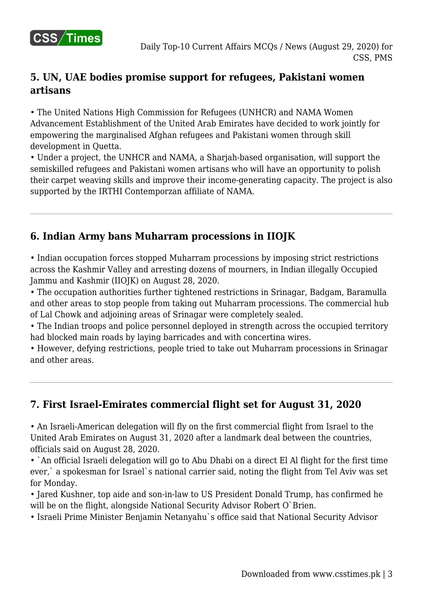

# **5. UN, UAE bodies promise support for refugees, Pakistani women artisans**

• The United Nations High Commission for Refugees (UNHCR) and NAMA Women Advancement Establishment of the United Arab Emirates have decided to work jointly for empowering the marginalised Afghan refugees and Pakistani women through skill development in Quetta.

• Under a project, the UNHCR and NAMA, a Sharjah-based organisation, will support the semiskilled refugees and Pakistani women artisans who will have an opportunity to polish their carpet weaving skills and improve their income-generating capacity. The project is also supported by the IRTHI Contemporzan affiliate of NAMA.

# **6. Indian Army bans Muharram processions in IIOJK**

• Indian occupation forces stopped Muharram processions by imposing strict restrictions across the Kashmir Valley and arresting dozens of mourners, in Indian illegally Occupied Jammu and Kashmir (IIOJK) on August 28, 2020.

• The occupation authorities further tightened restrictions in Srinagar, Badgam, Baramulla and other areas to stop people from taking out Muharram processions. The commercial hub of Lal Chowk and adjoining areas of Srinagar were completely sealed.

• The Indian troops and police personnel deployed in strength across the occupied territory had blocked main roads by laying barricades and with concertina wires.

• However, defying restrictions, people tried to take out Muharram processions in Srinagar and other areas.

# **7. First Israel-Emirates commercial flight set for August 31, 2020**

• An Israeli-American delegation will fly on the first commercial flight from Israel to the United Arab Emirates on August 31, 2020 after a landmark deal between the countries, officials said on August 28, 2020.

• `An official Israeli delegation will go to Abu Dhabi on a direct El Al flight for the first time ever,` a spokesman for Israel`s national carrier said, noting the flight from Tel Aviv was set for Monday.

• Jared Kushner, top aide and son-in-law to US President Donald Trump, has confirmed he will be on the flight, alongside National Security Advisor Robert O'Brien.

• Israeli Prime Minister Benjamin Netanyahu`s office said that National Security Advisor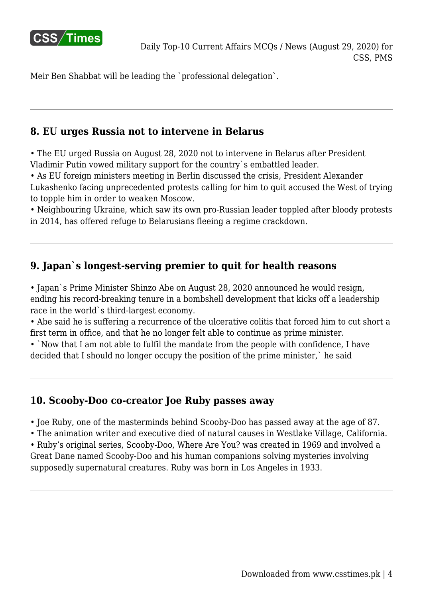

Meir Ben Shabbat will be leading the `professional delegation`.

## **8. EU urges Russia not to intervene in Belarus**

• The EU urged Russia on August 28, 2020 not to intervene in Belarus after President Vladimir Putin vowed military support for the country`s embattled leader.

• As EU foreign ministers meeting in Berlin discussed the crisis, President Alexander Lukashenko facing unprecedented protests calling for him to quit accused the West of trying to topple him in order to weaken Moscow.

• Neighbouring Ukraine, which saw its own pro-Russian leader toppled after bloody protests in 2014, has offered refuge to Belarusians fleeing a regime crackdown.

## **9. Japan`s longest-serving premier to quit for health reasons**

• Japan`s Prime Minister Shinzo Abe on August 28, 2020 announced he would resign, ending his record-breaking tenure in a bombshell development that kicks off a leadership race in the world`s third-largest economy.

• Abe said he is suffering a recurrence of the ulcerative colitis that forced him to cut short a first term in office, and that he no longer felt able to continue as prime minister.

• `Now that I am not able to fulfil the mandate from the people with confidence, I have decided that I should no longer occupy the position of the prime minister,` he said

# **10. Scooby-Doo co-creator Joe Ruby passes away**

• Joe Ruby, one of the masterminds behind Scooby-Doo has passed away at the age of 87.

• The animation writer and executive died of natural causes in Westlake Village, California. • Ruby's original series, Scooby-Doo, Where Are You? was created in 1969 and involved a Great Dane named Scooby-Doo and his human companions solving mysteries involving supposedly supernatural creatures. Ruby was born in Los Angeles in 1933.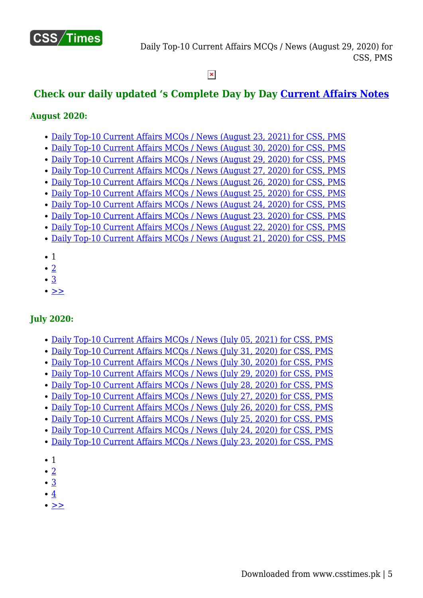

#### $\pmb{\times}$

# **Check our daily updated 's Complete Day by Day [Current Affairs Notes](https://www.csstimes.pk/category/csssubject/csscompulsorysubjects/currentaffairs/)**

#### **August 2020:**

- [Daily Top-10 Current Affairs MCQs / News \(August 23, 2021\) for CSS, PMS](https://www.csstimes.pk/current-affairs-mcqs-aug-23-2021/)
- [Daily Top-10 Current Affairs MCQs / News \(August 30, 2020\) for CSS, PMS](https://www.csstimes.pk/current-affairs-mcqs-august-30-2020/)
- [Daily Top-10 Current Affairs MCQs / News \(August 29, 2020\) for CSS, PMS](https://www.csstimes.pk/daily-top-10-current-affairs-mcqs-news-august-29-2020-css-pms/)
- [Daily Top-10 Current Affairs MCQs / News \(August 27, 2020\) for CSS, PMS](https://www.csstimes.pk/current-affairs-mcqs-august-27-2020/)
- [Daily Top-10 Current Affairs MCQs / News \(August 26, 2020\) for CSS, PMS](https://www.csstimes.pk/current-affairs-mcqs-august-26-2020/)
- [Daily Top-10 Current Affairs MCQs / News \(August 25, 2020\) for CSS, PMS](https://www.csstimes.pk/current-affairs-mcqs-august-25-2020/)
- [Daily Top-10 Current Affairs MCQs / News \(August 24, 2020\) for CSS, PMS](https://www.csstimes.pk/current-affairs-mcqs-august-24-2020/)
- [Daily Top-10 Current Affairs MCQs / News \(August 23, 2020\) for CSS, PMS](https://www.csstimes.pk/current-affairs-mcqs-news-august-23-2020/)
- [Daily Top-10 Current Affairs MCQs / News \(August 22, 2020\) for CSS, PMS](https://www.csstimes.pk/current-affairs-mcqs-august-22-2020/) [Daily Top-10 Current Affairs MCQs / News \(August 21, 2020\) for CSS, PMS](https://www.csstimes.pk/current-affairs-mcqs-august-21-2020/)
- 1
- $\bullet$  [2](https://www.csstimes.pk/daily-top-10-current-affairs-mcqs-news-august-29-2020-css-pms/?pdf=14073&lcp_page0=2#lcp_instance_0)
- $\cdot$  [3](https://www.csstimes.pk/daily-top-10-current-affairs-mcqs-news-august-29-2020-css-pms/?pdf=14073&lcp_page0=3#lcp_instance_0)
- $\bullet \geq$

#### **July 2020:**

- [Daily Top-10 Current Affairs MCQs / News \(July 05, 2021\) for CSS, PMS](https://www.csstimes.pk/current-affairs-mcqs-news-jul-5-2021/)
- [Daily Top-10 Current Affairs MCQs / News \(July 31, 2020\) for CSS, PMS](https://www.csstimes.pk/current-affairs-mcqs-july-31-2020/)
- [Daily Top-10 Current Affairs MCQs / News \(July 30, 2020\) for CSS, PMS](https://www.csstimes.pk/current-affairs-mcqs-july-30-2020/)
- [Daily Top-10 Current Affairs MCQs / News \(July 29, 2020\) for CSS, PMS](https://www.csstimes.pk/current-affairs-mcqs-july-29/)
- [Daily Top-10 Current Affairs MCQs / News \(July 28, 2020\) for CSS, PMS](https://www.csstimes.pk/current-affairs-mcqs-july-28-2020/)
- [Daily Top-10 Current Affairs MCQs / News \(July 27, 2020\) for CSS, PMS](https://www.csstimes.pk/current-affairs-mcqs-july-27-2020/)
- [Daily Top-10 Current Affairs MCQs / News \(July 26, 2020\) for CSS, PMS](https://www.csstimes.pk/current-affairs-mcqs-july-26-2020/)
- [Daily Top-10 Current Affairs MCQs / News \(July 25, 2020\) for CSS, PMS](https://www.csstimes.pk/current-affairs-mcqs-july-25-2020/)
- [Daily Top-10 Current Affairs MCQs / News \(July 24, 2020\) for CSS, PMS](https://www.csstimes.pk/current-affairs-mcqs-july-24-2020/)
- [Daily Top-10 Current Affairs MCQs / News \(July 23, 2020\) for CSS, PMS](https://www.csstimes.pk/current-affairs-mcqs-july-23-2020/)
- $\bullet$  1
- $\bullet$  [2](https://www.csstimes.pk/daily-top-10-current-affairs-mcqs-news-august-29-2020-css-pms/?pdf=14073&lcp_page0=2#lcp_instance_0)
- [3](https://www.csstimes.pk/daily-top-10-current-affairs-mcqs-news-august-29-2020-css-pms/?pdf=14073&lcp_page0=3#lcp_instance_0)
- $•4$  $•4$
- $\bullet$   $>$